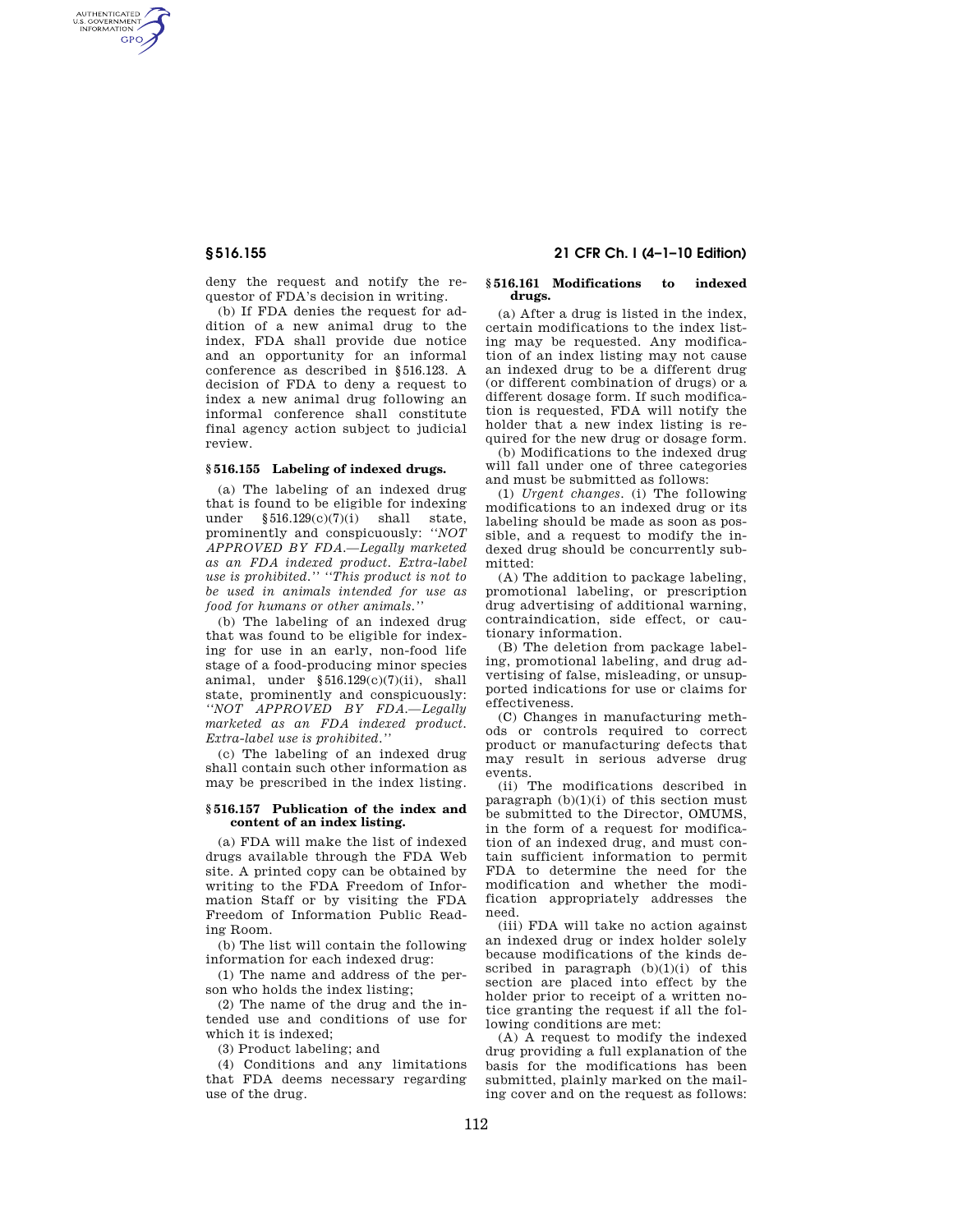AUTHENTICATED<br>U.S. GOVERNMENT<br>INFORMATION **GPO** 

> deny the request and notify the requestor of FDA's decision in writing.

> (b) If FDA denies the request for addition of a new animal drug to the index, FDA shall provide due notice and an opportunity for an informal conference as described in §516.123. A decision of FDA to deny a request to index a new animal drug following an informal conference shall constitute final agency action subject to judicial review.

# **§ 516.155 Labeling of indexed drugs.**

(a) The labeling of an indexed drug that is found to be eligible for indexing under §516.129(c)(7)(i) shall state, prominently and conspicuously: *''NOT APPROVED BY FDA.—Legally marketed as an FDA indexed product. Extra-label use is prohibited.'' ''This product is not to be used in animals intended for use as food for humans or other animals.''* 

(b) The labeling of an indexed drug that was found to be eligible for indexing for use in an early, non-food life stage of a food-producing minor species animal, under  $\S 516.129(c)(7)(ii)$ , shall state, prominently and conspicuously: *''NOT APPROVED BY FDA.—Legally marketed as an FDA indexed product. Extra-label use is prohibited.''* 

(c) The labeling of an indexed drug shall contain such other information as may be prescribed in the index listing.

## **§ 516.157 Publication of the index and content of an index listing.**

(a) FDA will make the list of indexed drugs available through the FDA Web site. A printed copy can be obtained by writing to the FDA Freedom of Information Staff or by visiting the FDA Freedom of Information Public Reading Room.

(b) The list will contain the following information for each indexed drug:

(1) The name and address of the person who holds the index listing;

(2) The name of the drug and the intended use and conditions of use for which it is indexed;

(3) Product labeling; and

(4) Conditions and any limitations that FDA deems necessary regarding use of the drug.

# **§ 516.155 21 CFR Ch. I (4–1–10 Edition)**

### **§ 516.161 Modifications to indexed drugs.**

(a) After a drug is listed in the index, certain modifications to the index listing may be requested. Any modification of an index listing may not cause an indexed drug to be a different drug (or different combination of drugs) or a different dosage form. If such modification is requested, FDA will notify the holder that a new index listing is required for the new drug or dosage form.

(b) Modifications to the indexed drug will fall under one of three categories and must be submitted as follows:

(1) *Urgent changes*. (i) The following modifications to an indexed drug or its labeling should be made as soon as possible, and a request to modify the indexed drug should be concurrently submitted:

(A) The addition to package labeling, promotional labeling, or prescription drug advertising of additional warning, contraindication, side effect, or cautionary information.

(B) The deletion from package labeling, promotional labeling, and drug advertising of false, misleading, or unsupported indications for use or claims for effectiveness.

(C) Changes in manufacturing methods or controls required to correct product or manufacturing defects that may result in serious adverse drug events.

(ii) The modifications described in paragraph  $(b)(1)(i)$  of this section must be submitted to the Director, OMUMS, in the form of a request for modification of an indexed drug, and must contain sufficient information to permit FDA to determine the need for the modification and whether the modification appropriately addresses the need.

(iii) FDA will take no action against an indexed drug or index holder solely because modifications of the kinds described in paragraph (b)(1)(i) of this section are placed into effect by the holder prior to receipt of a written notice granting the request if all the following conditions are met:

(A) A request to modify the indexed drug providing a full explanation of the basis for the modifications has been submitted, plainly marked on the mailing cover and on the request as follows: